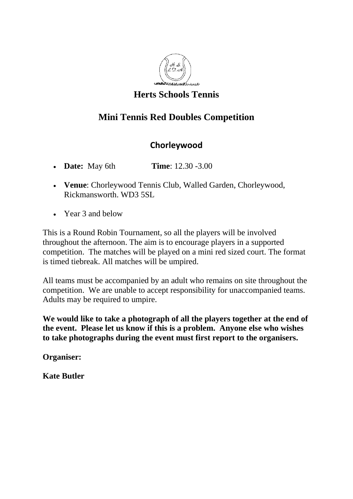

## **Herts Schools Tennis**

## **Mini Tennis Red Doubles Competition**

## **Chorleywood**

- **Date:** May 6th **Time**: 12.30 -3.00
- **Venue**: Chorleywood Tennis Club, Walled Garden, Chorleywood, Rickmansworth. WD3 5SL
- Year 3 and below

This is a Round Robin Tournament, so all the players will be involved throughout the afternoon. The aim is to encourage players in a supported competition. The matches will be played on a mini red sized court. The format is timed tiebreak. All matches will be umpired.

All teams must be accompanied by an adult who remains on site throughout the competition. We are unable to accept responsibility for unaccompanied teams. Adults may be required to umpire.

**We would like to take a photograph of all the players together at the end of the event. Please let us know if this is a problem. Anyone else who wishes to take photographs during the event must first report to the organisers.**

**Organiser:**

**Kate Butler**